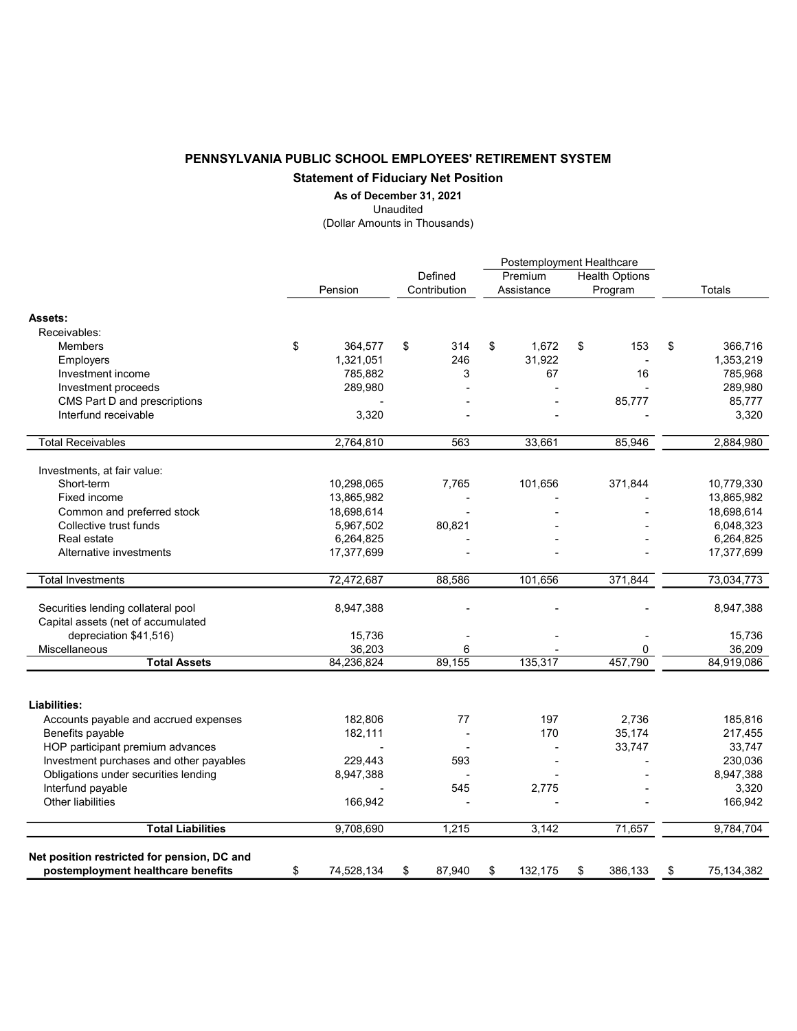## PENNSYLVANIA PUBLIC SCHOOL EMPLOYEES' RETIREMENT SYSTEM Statement of Fiduciary Net Position

## As of December 31, 2021

Unaudited

(Dollar Amounts in Thousands)

|                                                       |    |            | Postemployment Healthcare |              |    |            |    |                       |    |                   |
|-------------------------------------------------------|----|------------|---------------------------|--------------|----|------------|----|-----------------------|----|-------------------|
|                                                       |    |            |                           | Defined      |    | Premium    |    | <b>Health Options</b> |    |                   |
|                                                       |    | Pension    |                           | Contribution |    | Assistance |    | Program               |    | <b>Totals</b>     |
| Assets:                                               |    |            |                           |              |    |            |    |                       |    |                   |
| Receivables:                                          |    |            |                           |              |    |            |    |                       |    |                   |
| <b>Members</b>                                        | \$ | 364,577    | \$                        | 314          | \$ | 1,672      | \$ | 153                   | \$ | 366,716           |
|                                                       |    | 1,321,051  |                           | 246          |    | 31,922     |    |                       |    | 1,353,219         |
| <b>Employers</b>                                      |    | 785,882    |                           | 3            |    |            |    | 16                    |    | 785,968           |
| Investment income                                     |    |            |                           |              |    | 67         |    |                       |    |                   |
| Investment proceeds                                   |    | 289,980    |                           |              |    |            |    |                       |    | 289,980<br>85,777 |
| CMS Part D and prescriptions<br>Interfund receivable  |    |            |                           |              |    |            |    | 85,777                |    |                   |
|                                                       |    | 3,320      |                           |              |    |            |    |                       |    | 3,320             |
| <b>Total Receivables</b>                              |    | 2,764,810  |                           | 563          |    | 33,661     |    | 85,946                |    | 2,884,980         |
| Investments, at fair value:                           |    |            |                           |              |    |            |    |                       |    |                   |
| Short-term                                            |    | 10,298,065 |                           | 7,765        |    | 101,656    |    | 371,844               |    | 10,779,330        |
| Fixed income                                          |    | 13,865,982 |                           |              |    |            |    |                       |    | 13,865,982        |
| Common and preferred stock                            |    | 18,698,614 |                           |              |    |            |    |                       |    | 18,698,614        |
| Collective trust funds                                |    | 5,967,502  |                           | 80,821       |    |            |    |                       |    | 6,048,323         |
| Real estate                                           |    | 6,264,825  |                           |              |    |            |    |                       |    | 6,264,825         |
| Alternative investments                               |    | 17,377,699 |                           |              |    |            |    |                       |    | 17,377,699        |
| <b>Total Investments</b>                              |    | 72,472,687 |                           | 88,586       |    | 101,656    |    | 371,844               |    | 73,034,773        |
|                                                       |    |            |                           |              |    |            |    |                       |    |                   |
| Securities lending collateral pool                    |    | 8,947,388  |                           |              |    |            |    |                       |    | 8,947,388         |
| Capital assets (net of accumulated                    |    |            |                           |              |    |            |    |                       |    |                   |
| depreciation \$41,516)                                |    | 15,736     |                           |              |    |            |    |                       |    | 15,736            |
| <b>Miscellaneous</b>                                  |    | 36,203     |                           | 6            |    |            |    | 0                     |    | 36,209            |
| <b>Total Assets</b>                                   |    | 84,236,824 |                           | 89,155       |    | 135,317    |    | 457,790               |    | 84,919,086        |
|                                                       |    |            |                           |              |    |            |    |                       |    |                   |
| Liabilities:<br>Accounts payable and accrued expenses |    | 182,806    |                           | 77           |    | 197        |    | 2.736                 |    | 185,816           |
| Benefits payable                                      |    | 182,111    |                           |              |    | 170        |    | 35,174                |    | 217,455           |
| HOP participant premium advances                      |    |            |                           |              |    |            |    | 33,747                |    | 33,747            |
| Investment purchases and other payables               |    | 229,443    |                           | 593          |    |            |    |                       |    | 230,036           |
| Obligations under securities lending                  |    | 8,947,388  |                           |              |    |            |    |                       |    | 8,947,388         |
| Interfund payable                                     |    |            |                           | 545          |    | 2,775      |    |                       |    | 3,320             |
| Other liabilities                                     |    | 166,942    |                           |              |    |            |    |                       |    | 166,942           |
|                                                       |    |            |                           |              |    |            |    |                       |    |                   |
| <b>Total Liabilities</b>                              |    | 9,708,690  |                           | 1,215        |    | 3,142      |    | 71,657                |    | 9,784,704         |
| Net position restricted for pension, DC and           |    |            |                           |              |    |            |    |                       |    |                   |
| postemployment healthcare benefits                    | \$ | 74,528,134 | \$                        | 87,940       | \$ | 132,175    | \$ | 386,133               | \$ | 75,134,382        |